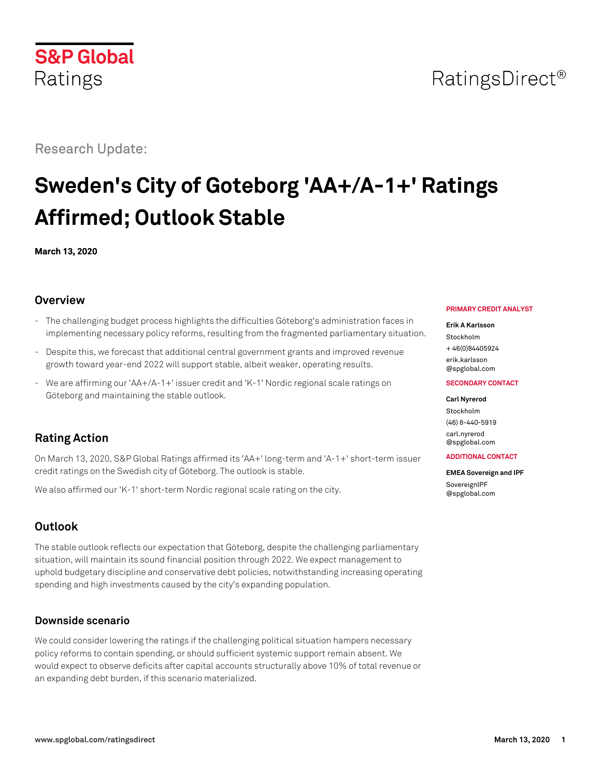## **S&P Global** Ratings

Research Update:

# **Sweden's City of Goteborg 'AA+/A-1+' Ratings Affirmed; Outlook Stable**

**March 13, 2020**

## **Overview**

- The challenging budget process highlights the difficulties Göteborg's administration faces in implementing necessary policy reforms, resulting from the fragmented parliamentary situation.
- Despite this, we forecast that additional central government grants and improved revenue growth toward year-end 2022 will support stable, albeit weaker, operating results.
- We are affirming our 'AA+/A-1+' issuer credit and 'K-1' Nordic regional scale ratings on Göteborg and maintaining the stable outlook.

## **Rating Action**

On March 13, 2020, S&P Global Ratings affirmed its 'AA+' long-term and 'A-1+' short-term issuer credit ratings on the Swedish city of Göteborg. The outlook is stable.

We also affirmed our 'K-1' short-term Nordic regional scale rating on the city.

## **Outlook**

The stable outlook reflects our expectation that Göteborg, despite the challenging parliamentary situation, will maintain its sound financial position through 2022. We expect management to uphold budgetary discipline and conservative debt policies, notwithstanding increasing operating spending and high investments caused by the city's expanding population.

### **Downside scenario**

We could consider lowering the ratings if the challenging political situation hampers necessary policy reforms to contain spending, or should sufficient systemic support remain absent. We would expect to observe deficits after capital accounts structurally above 10% of total revenue or an expanding debt burden, if this scenario materialized.

#### **PRIMARY CREDIT ANALYST**

#### **Erik A Karlsson**

Stockholm + 46(0)84405924

[erik.karlsson](mailto:erik.karlsson@spglobal.com) [@spglobal.com](mailto:erik.karlsson@spglobal.com)

#### **SECONDARY CONTACT**

#### **Carl Nyrerod**

Stockholm (46) 8-440-5919 [carl.nyrerod](mailto:carl.nyrerod@spglobal.com) [@spglobal.com](mailto:carl.nyrerod@spglobal.com)

#### **ADDITIONAL CONTACT**

**EMEA Sovereign and IPF** [SovereignIPF](mailto:SovereignIPF@spglobal.com) [@spglobal.com](mailto:SovereignIPF@spglobal.com)

## RatingsDirect<sup>®</sup>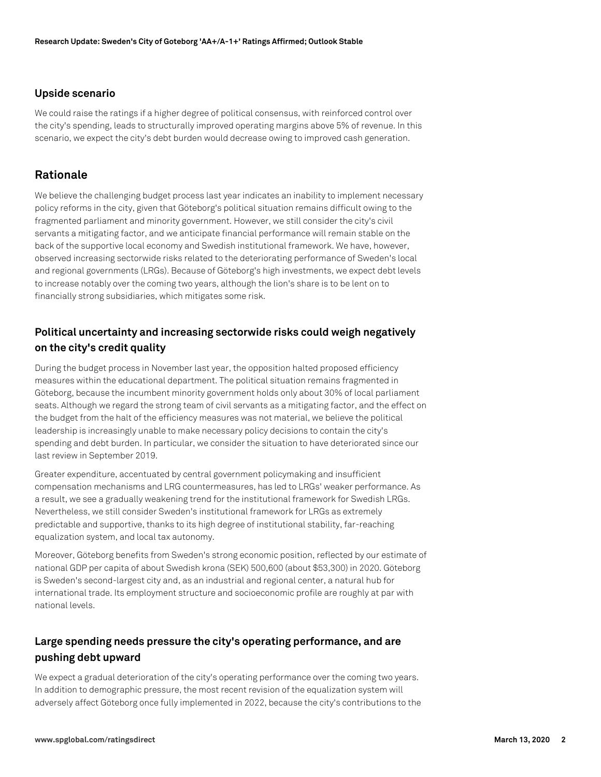#### **Upside scenario**

We could raise the ratings if a higher degree of political consensus, with reinforced control over the city's spending, leads to structurally improved operating margins above 5% of revenue. In this scenario, we expect the city's debt burden would decrease owing to improved cash generation.

#### **Rationale**

We believe the challenging budget process last year indicates an inability to implement necessary policy reforms in the city, given that Göteborg's political situation remains difficult owing to the fragmented parliament and minority government. However, we still consider the city's civil servants a mitigating factor, and we anticipate financial performance will remain stable on the back of the supportive local economy and Swedish institutional framework. We have, however, observed increasing sectorwide risks related to the deteriorating performance of Sweden's local and regional governments (LRGs). Because of Göteborg's high investments, we expect debt levels to increase notably over the coming two years, although the lion's share is to be lent on to financially strong subsidiaries, which mitigates some risk.

## **Political uncertainty and increasing sectorwide risks could weigh negatively on the city's credit quality**

During the budget process in November last year, the opposition halted proposed efficiency measures within the educational department. The political situation remains fragmented in Göteborg, because the incumbent minority government holds only about 30% of local parliament seats. Although we regard the strong team of civil servants as a mitigating factor, and the effect on the budget from the halt of the efficiency measures was not material, we believe the political leadership is increasingly unable to make necessary policy decisions to contain the city's spending and debt burden. In particular, we consider the situation to have deteriorated since our last review in September 2019.

Greater expenditure, accentuated by central government policymaking and insufficient compensation mechanisms and LRG countermeasures, has led to LRGs' weaker performance. As a result, we see a gradually weakening trend for the institutional framework for Swedish LRGs. Nevertheless, we still consider Sweden's institutional framework for LRGs as extremely predictable and supportive, thanks to its high degree of institutional stability, far-reaching equalization system, and local tax autonomy.

Moreover, Göteborg benefits from Sweden's strong economic position, reflected by our estimate of national GDP per capita of about Swedish krona (SEK) 500,600 (about \$53,300) in 2020. Göteborg is Sweden's second-largest city and, as an industrial and regional center, a natural hub for international trade. Its employment structure and socioeconomic profile are roughly at par with national levels.

## **Large spending needs pressure the city's operating performance, and are pushing debt upward**

We expect a gradual deterioration of the city's operating performance over the coming two years. In addition to demographic pressure, the most recent revision of the equalization system will adversely affect Göteborg once fully implemented in 2022, because the city's contributions to the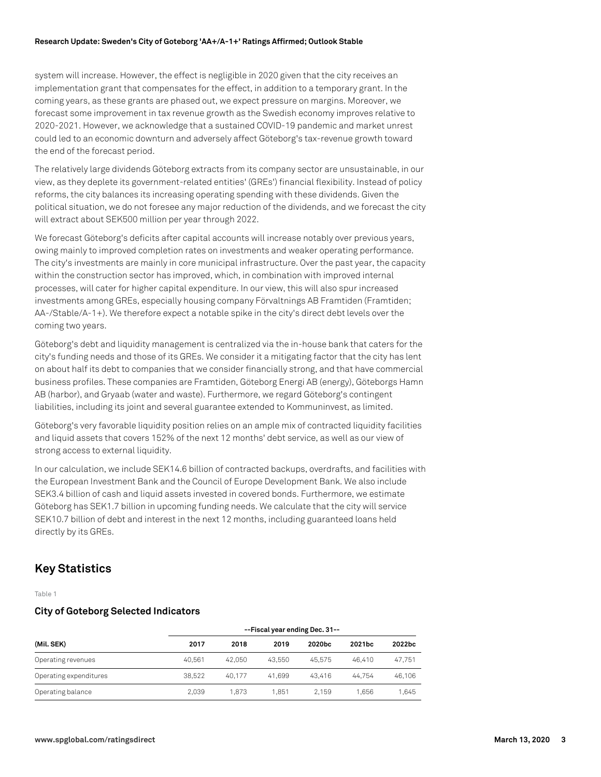system will increase. However, the effect is negligible in 2020 given that the city receives an implementation grant that compensates for the effect, in addition to a temporary grant. In the coming years, as these grants are phased out, we expect pressure on margins. Moreover, we forecast some improvement in tax revenue growth as the Swedish economy improves relative to 2020-2021. However, we acknowledge that a sustained COVID-19 pandemic and market unrest could led to an economic downturn and adversely affect Göteborg's tax-revenue growth toward the end of the forecast period.

The relatively large dividends Göteborg extracts from its company sector are unsustainable, in our view, as they deplete its government-related entities' (GREs') financial flexibility. Instead of policy reforms, the city balances its increasing operating spending with these dividends. Given the political situation, we do not foresee any major reduction of the dividends, and we forecast the city will extract about SEK500 million per year through 2022.

We forecast Göteborg's deficits after capital accounts will increase notably over previous years, owing mainly to improved completion rates on investments and weaker operating performance. The city's investments are mainly in core municipal infrastructure. Over the past year, the capacity within the construction sector has improved, which, in combination with improved internal processes, will cater for higher capital expenditure. In our view, this will also spur increased investments among GREs, especially housing company Förvaltnings AB Framtiden (Framtiden; AA-/Stable/A-1+). We therefore expect a notable spike in the city's direct debt levels over the coming two years.

Göteborg's debt and liquidity management is centralized via the in-house bank that caters for the city's funding needs and those of its GREs. We consider it a mitigating factor that the city has lent on about half its debt to companies that we consider financially strong, and that have commercial business profiles. These companies are Framtiden, Göteborg Energi AB (energy), Göteborgs Hamn AB (harbor), and Gryaab (water and waste). Furthermore, we regard Göteborg's contingent liabilities, including its joint and several guarantee extended to Kommuninvest, as limited.

Göteborg's very favorable liquidity position relies on an ample mix of contracted liquidity facilities and liquid assets that covers 152% of the next 12 months' debt service, as well as our view of strong access to external liquidity.

In our calculation, we include SEK14.6 billion of contracted backups, overdrafts, and facilities with the European Investment Bank and the Council of Europe Development Bank. We also include SEK3.4 billion of cash and liquid assets invested in covered bonds. Furthermore, we estimate Göteborg has SEK1.7 billion in upcoming funding needs. We calculate that the city will service SEK10.7 billion of debt and interest in the next 12 months, including guaranteed loans held directly by its GREs.

## **Key Statistics**

Table 1

#### **City of Goteborg Selected Indicators**

|                        | --Fiscal year ending Dec. 31-- |        |        |        |        |        |
|------------------------|--------------------------------|--------|--------|--------|--------|--------|
| (Mil. SEK)             | 2017                           | 2018   | 2019   | 2020bc | 2021bc | 2022bc |
| Operating revenues     | 40.561                         | 42.050 | 43.550 | 45.575 | 46.410 | 47.751 |
| Operating expenditures | 38.522                         | 40.177 | 41.699 | 43.416 | 44.754 | 46.106 |
| Operating balance      | 2.039                          | 1.873  | 1.851  | 2.159  | 1.656  | 1,645  |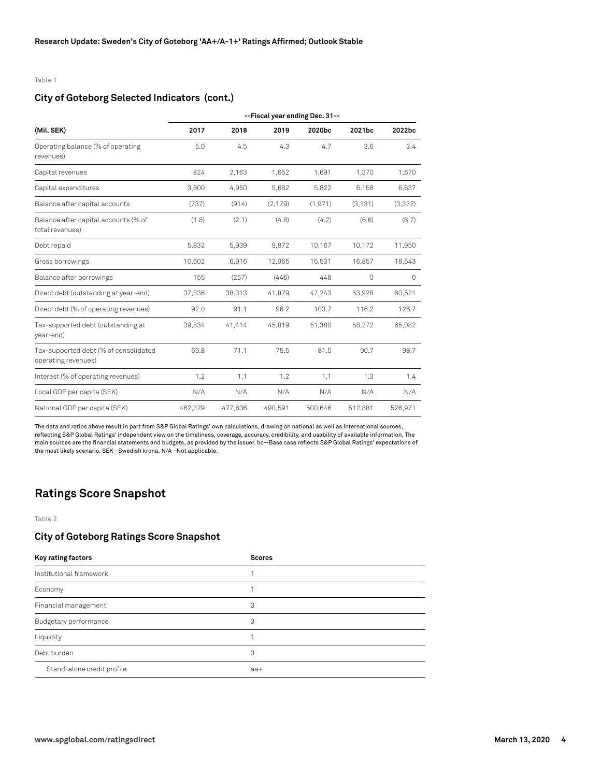#### Table 1

#### **City of Goteborg Selected Indicators (cont.)**

|                                                              | --Fiscal year ending Dec. 31-- |         |          |          |          |         |
|--------------------------------------------------------------|--------------------------------|---------|----------|----------|----------|---------|
| (Mil. SEK)                                                   | 2017                           | 2018    | 2019     | 2020bc   | 2021bc   | 2022bc  |
| Operating balance (% of operating<br>revenues)               | 5.0                            | 4.5     | 4.3      | 4.7      | 3.6      | 3.4     |
| Capital revenues                                             | 824                            | 2,163   | 1,652    | 1,691    | 1.370    | 1,670   |
| Capital expenditures                                         | 3,600                          | 4,950   | 5,682    | 5,822    | 6,158    | 6,637   |
| Balance after capital accounts                               | (737)                          | (914)   | (2, 179) | (1, 971) | (3, 131) | (3,322) |
| Balance after capital accounts (% of<br>total revenues)      | (1.8)                          | (2.1)   | (4.8)    | (4.2)    | (6.6)    | (6.7)   |
| Debt repaid                                                  | 5,832                          | 5,939   | 9,872    | 10,167   | 10,172   | 11,950  |
| Gross borrowings                                             | 10,602                         | 6,916   | 12,965   | 15,531   | 16,857   | 18,543  |
| Balance after borrowings                                     | 155                            | (257)   | (446)    | 448      | 0        | 0       |
| Direct debt (outstanding at year-end)                        | 37,336                         | 38,313  | 41,879   | 47,243   | 53,928   | 60,521  |
| Direct debt (% of operating revenues)                        | 92.0                           | 91.1    | 96.2     | 103.7    | 116.2    | 126.7   |
| Tax-supported debt (outstanding at<br>year-end)              | 39,834                         | 41,414  | 45,819   | 51,380   | 58,272   | 65,082  |
| Tax-supported debt (% of consolidated<br>operating revenues) | 69.8                           | 71.1    | 75.5     | 81.5     | 90.7     | 98.7    |
| Interest (% of operating revenues)                           | 1.2                            | 1.1     | 1.2      | 1.1      | 1.3      | 1.4     |
| Local GDP per capita (SEK)                                   | N/A                            | N/A     | N/A      | N/A      | N/A      | N/A     |
| National GDP per capita (SEK)                                | 462,329                        | 477,636 | 490,591  | 500,646  | 512,881  | 526,971 |

The data and ratios above result in part from S&P Global Ratings' own calculations, drawing on national as well as international sources, reflecting S&P Global Ratings' independent view on the timeliness, coverage, accuracy, credibility, and usability of available information. The main sources are the financial statements and budgets, as provided by the issuer. bc--Base case reflects S&P Global Ratings' expectations of the most likely scenario. SEK--Swedish krona. N/A--Not applicable.

## **Ratings Score Snapshot**

Table 2

#### **City of Goteborg Ratings Score Snapshot**

| Key rating factors         | <b>Scores</b> |
|----------------------------|---------------|
| Institutional framework    |               |
| Economy                    |               |
| Financial management       | 3             |
| Budgetary performance      | 3             |
| Liquidity                  |               |
| Debt burden                | 3             |
| Stand-alone credit profile | $aa+$         |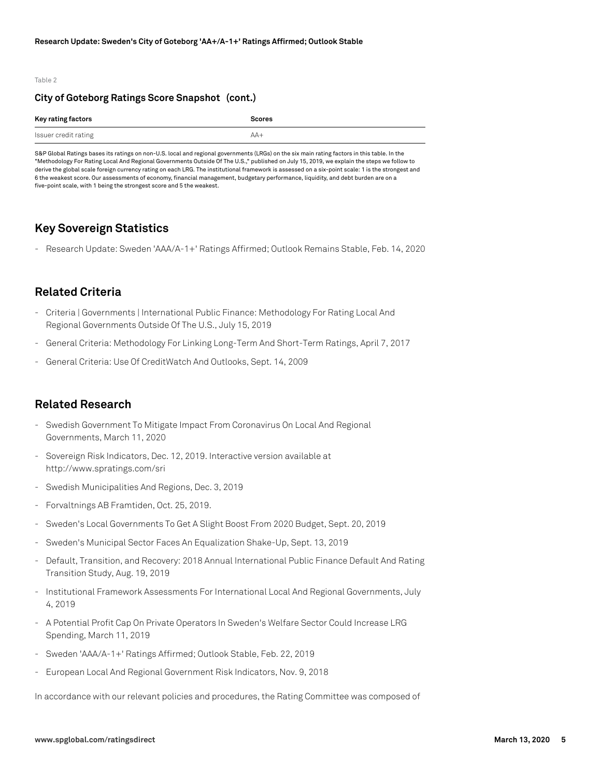#### Table 2

#### **City of Goteborg Ratings Score Snapshot (cont.)**

| Key rating factors   | <b>Scores</b> |
|----------------------|---------------|
| Issuer credit rating | $AA+$         |

S&P Global Ratings bases its ratings on non-U.S. local and regional governments (LRGs) on the six main rating factors in this table. In the "Methodology For Rating Local And Regional Governments Outside Of The U.S.," published on July 15, 2019, we explain the steps we follow to derive the global scale foreign currency rating on each LRG. The institutional framework is assessed on a six-point scale: 1 is the strongest and 6 the weakest score. Our assessments of economy, financial management, budgetary performance, liquidity, and debt burden are on a five-point scale, with 1 being the strongest score and 5 the weakest.

#### **Key Sovereign Statistics**

- Research Update: Sweden 'AAA/A-1+' Ratings Affirmed; Outlook Remains Stable, Feb. 14, 2020

### **Related Criteria**

- Criteria | Governments | International Public Finance: Methodology For Rating Local And Regional Governments Outside Of The U.S., July 15, 2019
- General Criteria: Methodology For Linking Long-Term And Short-Term Ratings, April 7, 2017
- General Criteria: Use Of CreditWatch And Outlooks, Sept. 14, 2009

#### **Related Research**

- Swedish Government To Mitigate Impact From Coronavirus On Local And Regional Governments, March 11, 2020
- Sovereign Risk Indicators, Dec. 12, 2019. Interactive version available at http://www.spratings.com/sri
- Swedish Municipalities And Regions, Dec. 3, 2019
- Forvaltnings AB Framtiden, Oct. 25, 2019.
- Sweden's Local Governments To Get A Slight Boost From 2020 Budget, Sept. 20, 2019
- Sweden's Municipal Sector Faces An Equalization Shake-Up, Sept. 13, 2019
- Default, Transition, and Recovery: 2018 Annual International Public Finance Default And Rating Transition Study, Aug. 19, 2019
- Institutional Framework Assessments For International Local And Regional Governments, July 4, 2019
- A Potential Profit Cap On Private Operators In Sweden's Welfare Sector Could Increase LRG Spending, March 11, 2019
- Sweden 'AAA/A-1+' Ratings Affirmed; Outlook Stable, Feb. 22, 2019
- European Local And Regional Government Risk Indicators, Nov. 9, 2018

In accordance with our relevant policies and procedures, the Rating Committee was composed of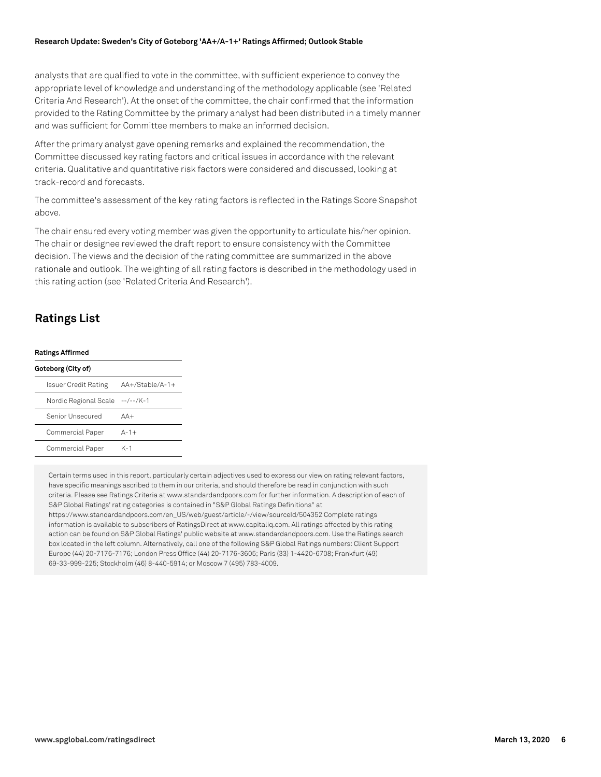#### **Research Update: Sweden's City of Goteborg 'AA+/A-1+' Ratings Affirmed; Outlook Stable**

analysts that are qualified to vote in the committee, with sufficient experience to convey the appropriate level of knowledge and understanding of the methodology applicable (see 'Related Criteria And Research'). At the onset of the committee, the chair confirmed that the information provided to the Rating Committee by the primary analyst had been distributed in a timely manner and was sufficient for Committee members to make an informed decision.

After the primary analyst gave opening remarks and explained the recommendation, the Committee discussed key rating factors and critical issues in accordance with the relevant criteria. Qualitative and quantitative risk factors were considered and discussed, looking at track-record and forecasts.

The committee's assessment of the key rating factors is reflected in the Ratings Score Snapshot above.

The chair ensured every voting member was given the opportunity to articulate his/her opinion. The chair or designee reviewed the draft report to ensure consistency with the Committee decision. The views and the decision of the rating committee are summarized in the above rationale and outlook. The weighting of all rating factors is described in the methodology used in this rating action (see 'Related Criteria And Research').

## **Ratings List**

#### **Ratings Affirmed**

| Goteborg (City of)              |                   |
|---------------------------------|-------------------|
| Issuer Credit Rating            | $AA+/Stable/A-1+$ |
| Nordic Regional Scale --/--/K-1 |                   |
| Senior Unsecured                | $\Delta\Delta +$  |
| Commercial Paper                | $A-1+$            |
| Commercial Paper                | K-1               |

Certain terms used in this report, particularly certain adjectives used to express our view on rating relevant factors, have specific meanings ascribed to them in our criteria, and should therefore be read in conjunction with such criteria. Please see Ratings Criteria at www.standardandpoors.com for further information. A description of each of S&P Global Ratings' rating categories is contained in "S&P Global Ratings Definitions" at https://www.standardandpoors.com/en\_US/web/guest/article/-/view/sourceId/504352 Complete ratings information is available to subscribers of RatingsDirect at www.capitaliq.com. All ratings affected by this rating action can be found on S&P Global Ratings' public website at www.standardandpoors.com. Use the Ratings search box located in the left column. Alternatively, call one of the following S&P Global Ratings numbers: Client Support Europe (44) 20-7176-7176; London Press Office (44) 20-7176-3605; Paris (33) 1-4420-6708; Frankfurt (49) 69-33-999-225; Stockholm (46) 8-440-5914; or Moscow 7 (495) 783-4009.